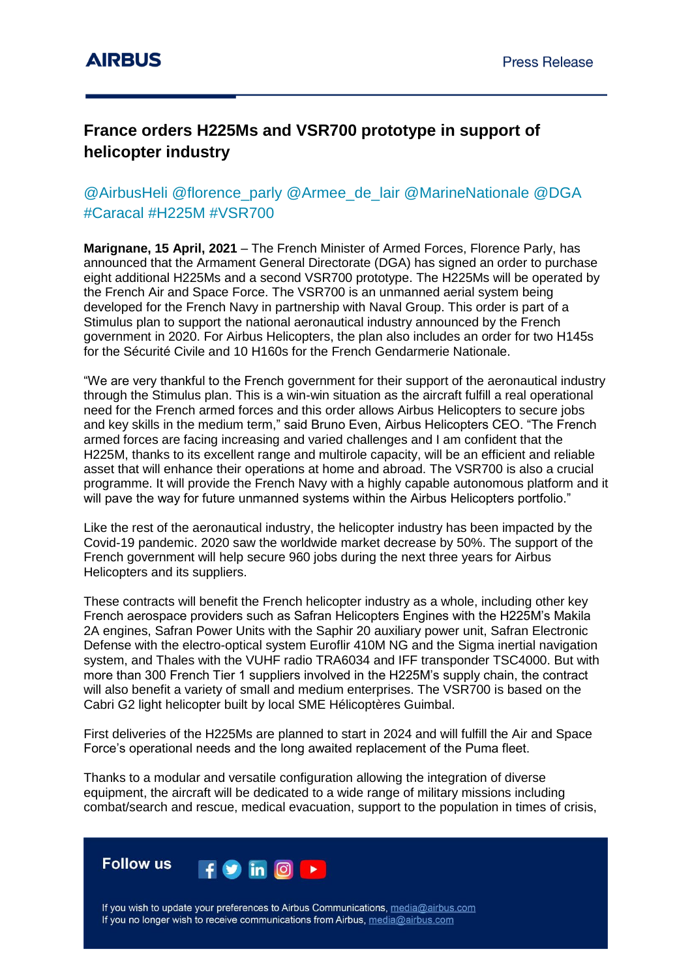## **France orders H225Ms and VSR700 prototype in support of helicopter industry**

## @AirbusHeli @florence\_parly @Armee\_de\_lair @MarineNationale @DGA #Caracal #H225M #VSR700

**Marignane, 15 April, 2021** – The French Minister of Armed Forces, Florence Parly, has announced that the Armament General Directorate (DGA) has signed an order to purchase eight additional H225Ms and a second VSR700 prototype. The H225Ms will be operated by the French Air and Space Force. The VSR700 is an unmanned aerial system being developed for the French Navy in partnership with Naval Group. This order is part of a Stimulus plan to support the national aeronautical industry announced by the French government in 2020. For Airbus Helicopters, the plan also includes an order for two H145s for the Sécurité Civile and 10 H160s for the French Gendarmerie Nationale.

"We are very thankful to the French government for their support of the aeronautical industry through the Stimulus plan. This is a win-win situation as the aircraft fulfill a real operational need for the French armed forces and this order allows Airbus Helicopters to secure jobs and key skills in the medium term," said Bruno Even, Airbus Helicopters CEO. "The French armed forces are facing increasing and varied challenges and I am confident that the H225M, thanks to its excellent range and multirole capacity, will be an efficient and reliable asset that will enhance their operations at home and abroad. The VSR700 is also a crucial programme. It will provide the French Navy with a highly capable autonomous platform and it will pave the way for future unmanned systems within the Airbus Helicopters portfolio."

Like the rest of the aeronautical industry, the helicopter industry has been impacted by the Covid-19 pandemic. 2020 saw the worldwide market decrease by 50%. The support of the French government will help secure 960 jobs during the next three years for Airbus Helicopters and its suppliers.

These contracts will benefit the French helicopter industry as a whole, including other key French aerospace providers such as Safran Helicopters Engines with the H225M's Makila 2A engines, Safran Power Units with the Saphir 20 auxiliary power unit, Safran Electronic Defense with the electro-optical system Euroflir 410M NG and the Sigma inertial navigation system, and Thales with the VUHF radio TRA6034 and IFF transponder TSC4000. But with more than 300 French Tier 1 suppliers involved in the H225M's supply chain, the contract will also benefit a variety of small and medium enterprises. The VSR700 is based on the Cabri G2 light helicopter built by local SME Hélicoptères Guimbal.

First deliveries of the H225Ms are planned to start in 2024 and will fulfill the Air and Space Force's operational needs and the long awaited replacement of the Puma fleet.

Thanks to a modular and versatile configuration allowing the integration of diverse equipment, the aircraft will be dedicated to a wide range of military missions including combat/search and rescue, medical evacuation, support to the population in times of crisis,

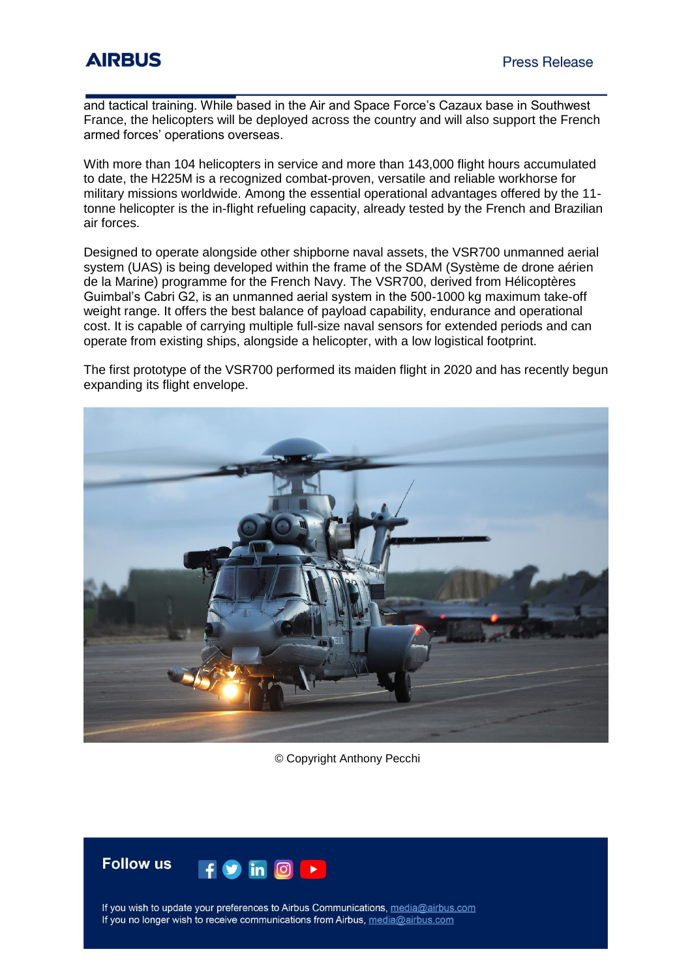and tactical training. While based in the Air and Space Force's Cazaux base in Southwest France, the helicopters will be deployed across the country and will also support the French armed forces' operations overseas.

With more than 104 helicopters in service and more than 143,000 flight hours accumulated to date, the H225M is a recognized combat-proven, versatile and reliable workhorse for military missions worldwide. Among the essential operational advantages offered by the 11 tonne helicopter is the in-flight refueling capacity, already tested by the French and Brazilian air forces.

Designed to operate alongside other shipborne naval assets, the VSR700 unmanned aerial system (UAS) is being developed within the frame of the SDAM (Système de drone aérien de la Marine) programme for the French Navy. The VSR700, derived from Hélicoptères Guimbal's Cabri G2, is an unmanned aerial system in the 500-1000 kg maximum take-off weight range. It offers the best balance of payload capability, endurance and operational cost. It is capable of carrying multiple full-size naval sensors for extended periods and can operate from existing ships, alongside a helicopter, with a low logistical footprint.

The first prototype of the VSR700 performed its maiden flight in 2020 and has recently begun expanding its flight envelope.



© Copyright Anthony Pecchi



If you wish to update your preferences to Airbus Communications, media@airbus.com If you no longer wish to receive communications from Airbus, media@airbus.com